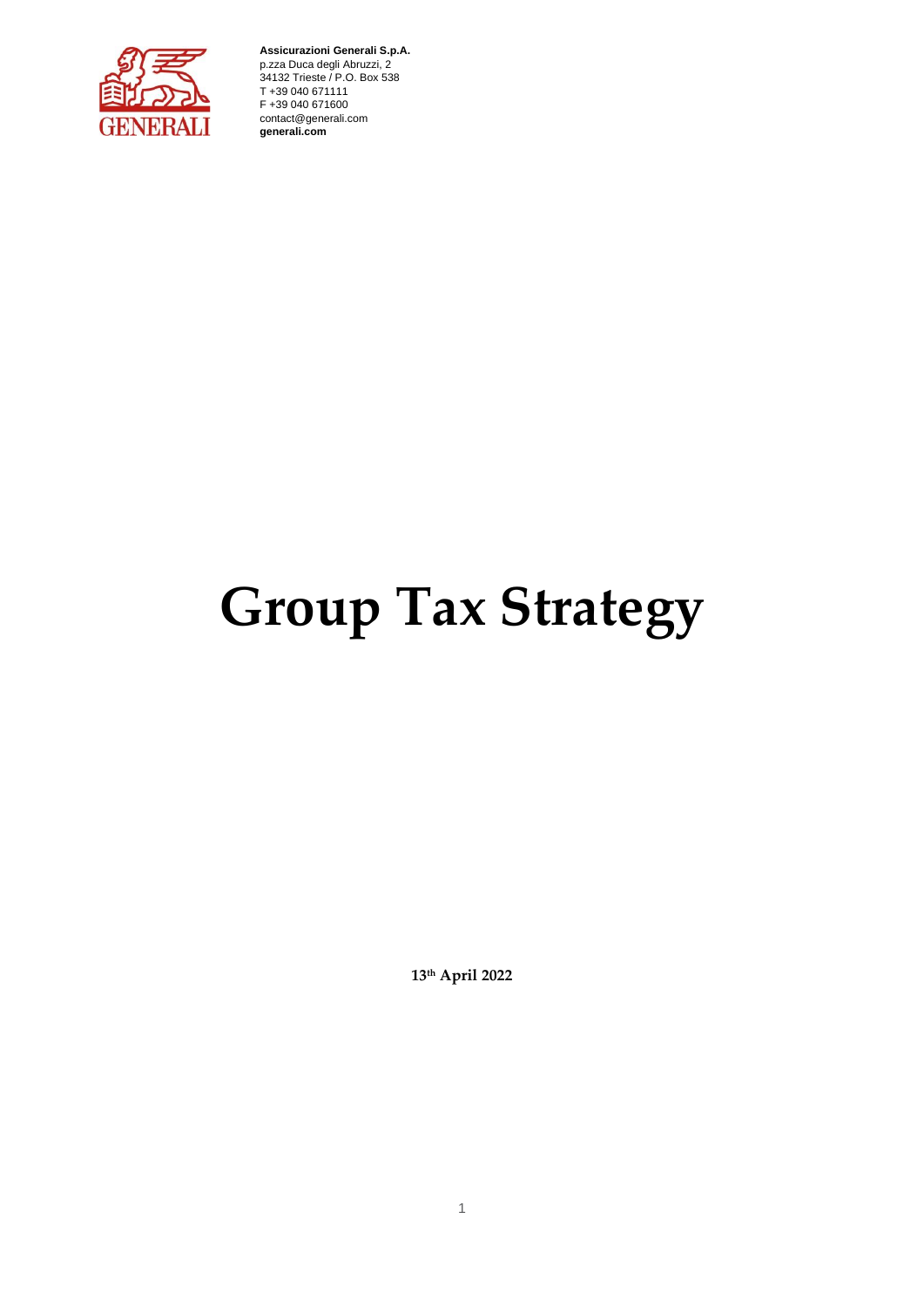

**Assicurazioni Generali S.p.A.** p.zza Duca degli Abruzzi, 2 34132 Trieste / P.O. Box 538 T +39 040 671111 F +39 040 671600 contact@generali.com **generali.com**

# **Group Tax Strategy**

**13th April 2022**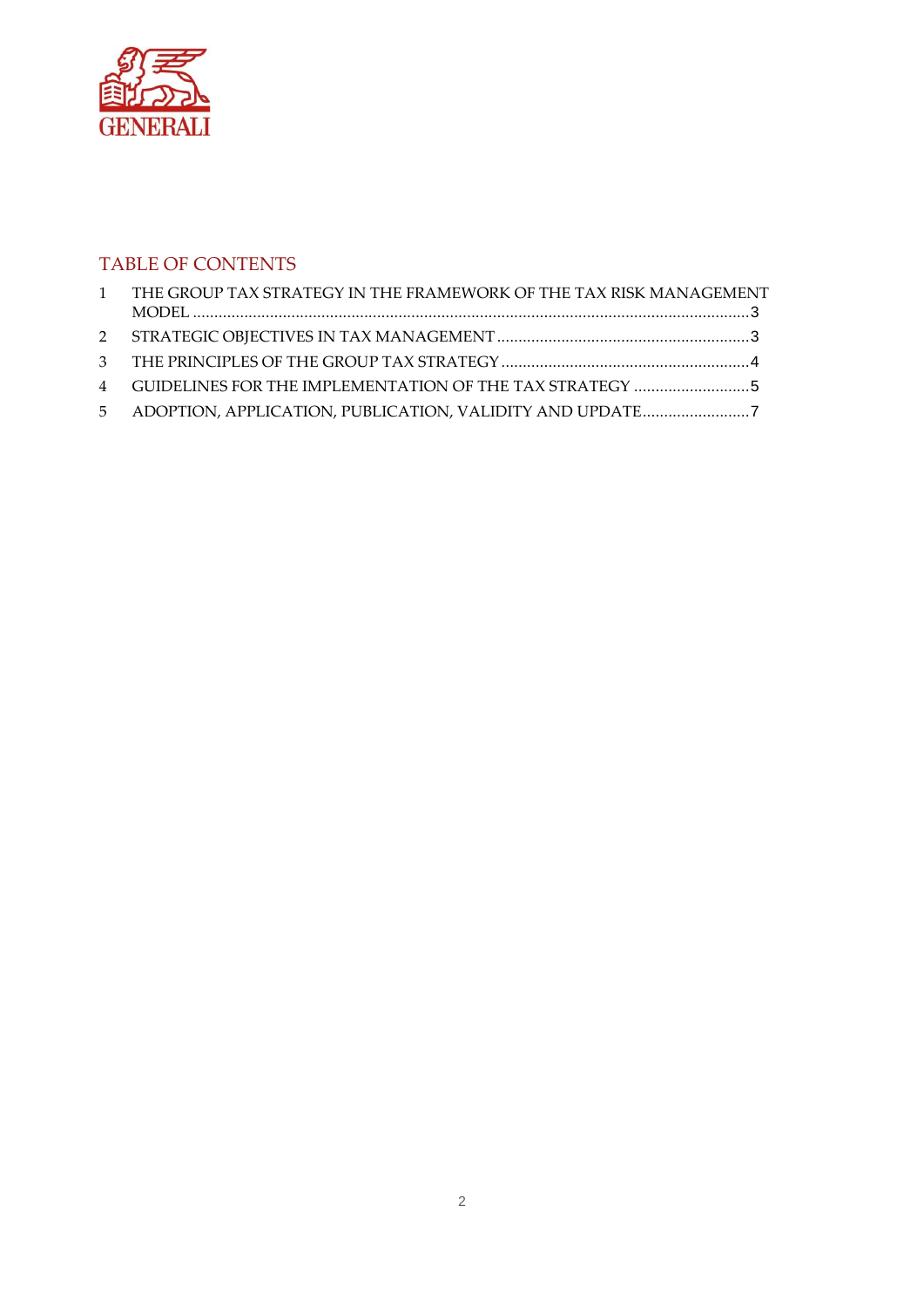

# TABLE OF CONTENTS

| 1 THE GROUP TAX STRATEGY IN THE FRAMEWORK OF THE TAX RISK MANAGEMENT |  |
|----------------------------------------------------------------------|--|
|                                                                      |  |
|                                                                      |  |
|                                                                      |  |
|                                                                      |  |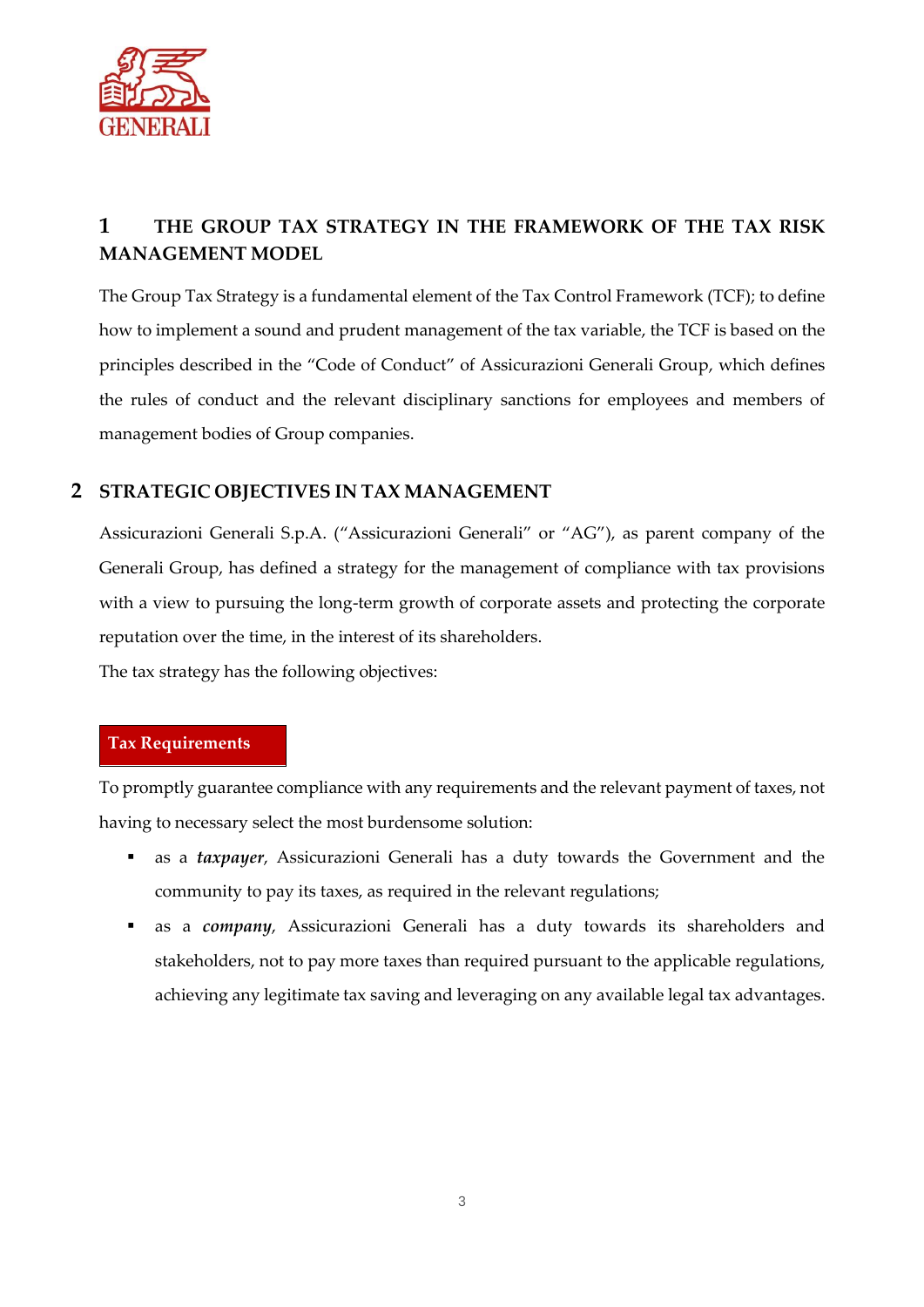

# **1 THE GROUP TAX STRATEGY IN THE FRAMEWORK OF THE TAX RISK MANAGEMENT MODEL**

The Group Tax Strategy is a fundamental element of the Tax Control Framework (TCF); to define how to implement a sound and prudent management of the tax variable, the TCF is based on the principles described in the "Code of Conduct" of Assicurazioni Generali Group, which defines the rules of conduct and the relevant disciplinary sanctions for employees and members of management bodies of Group companies.

#### **2 STRATEGIC OBJECTIVES IN TAX MANAGEMENT**

Assicurazioni Generali S.p.A. ("Assicurazioni Generali" or "AG"), as parent company of the Generali Group, has defined a strategy for the management of compliance with tax provisions with a view to pursuing the long-term growth of corporate assets and protecting the corporate reputation over the time, in the interest of its shareholders.

The tax strategy has the following objectives:

#### **Tax Requirements**

To promptly guarantee compliance with any requirements and the relevant payment of taxes, not having to necessary select the most burdensome solution:

- as a *taxpayer*, Assicurazioni Generali has a duty towards the Government and the community to pay its taxes, as required in the relevant regulations;
- as a *company*, Assicurazioni Generali has a duty towards its shareholders and stakeholders, not to pay more taxes than required pursuant to the applicable regulations, achieving any legitimate tax saving and leveraging on any available legal tax advantages.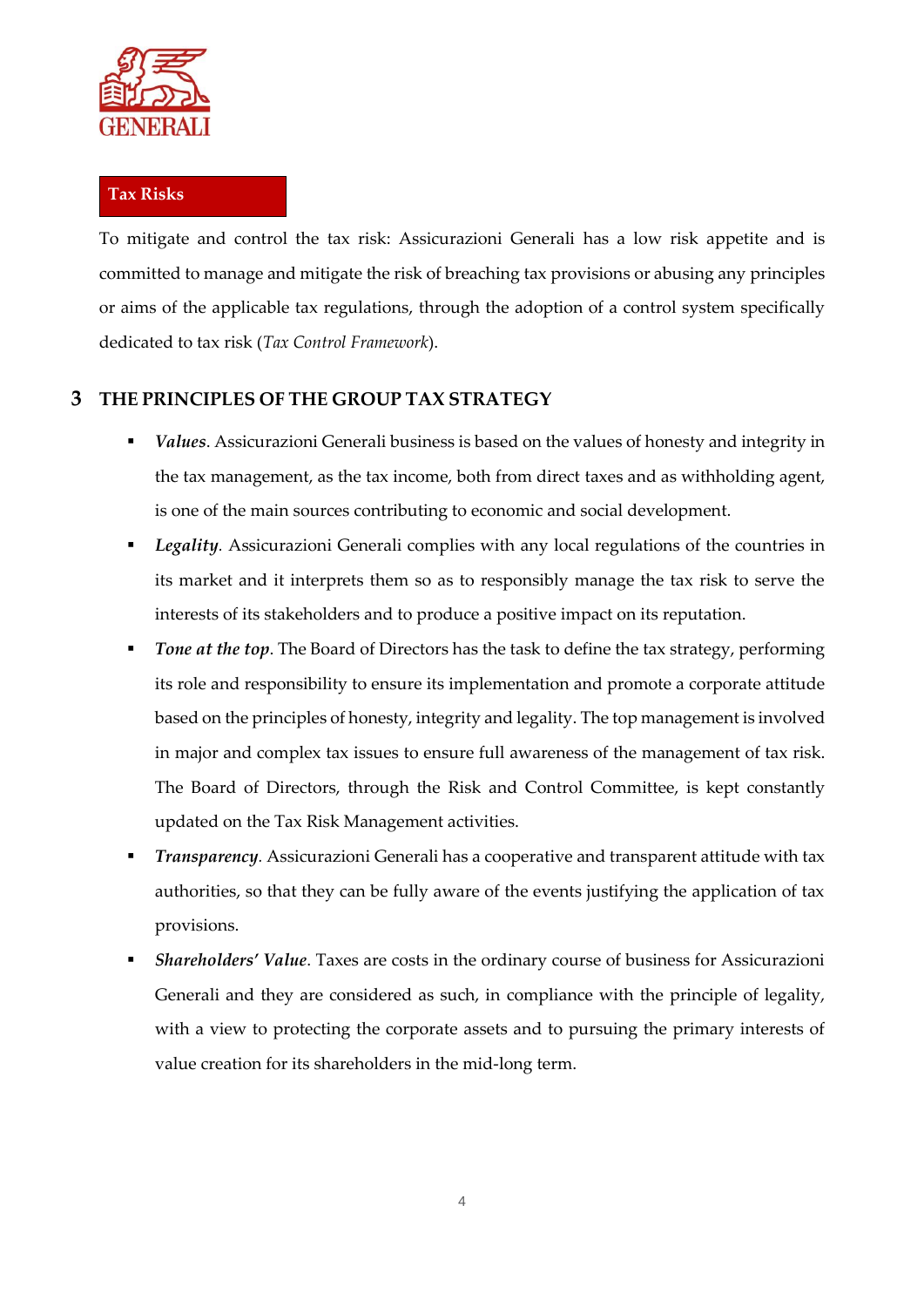

#### **Tax Risks**

To mitigate and control the tax risk: Assicurazioni Generali has a low risk appetite and is committed to manage and mitigate the risk of breaching tax provisions or abusing any principles or aims of the applicable tax regulations, through the adoption of a control system specifically dedicated to tax risk (*Tax Control Framework*).

### **3 THE PRINCIPLES OF THE GROUP TAX STRATEGY**

- Values. Assicurazioni Generali business is based on the values of honesty and integrity in the tax management, as the tax income, both from direct taxes and as withholding agent, is one of the main sources contributing to economic and social development.
- *Legality.* Assicurazioni Generali complies with any local regulations of the countries in its market and it interprets them so as to responsibly manage the tax risk to serve the interests of its stakeholders and to produce a positive impact on its reputation.
- **Tone at the top.** The Board of Directors has the task to define the tax strategy, performing its role and responsibility to ensure its implementation and promote a corporate attitude based on the principles of honesty, integrity and legality. The top management is involved in major and complex tax issues to ensure full awareness of the management of tax risk. The Board of Directors, through the Risk and Control Committee, is kept constantly updated on the Tax Risk Management activities.
- *Transparency.* Assicurazioni Generali has a cooperative and transparent attitude with tax authorities, so that they can be fully aware of the events justifying the application of tax provisions.
- Shareholders' Value. Taxes are costs in the ordinary course of business for Assicurazioni Generali and they are considered as such, in compliance with the principle of legality, with a view to protecting the corporate assets and to pursuing the primary interests of value creation for its shareholders in the mid-long term.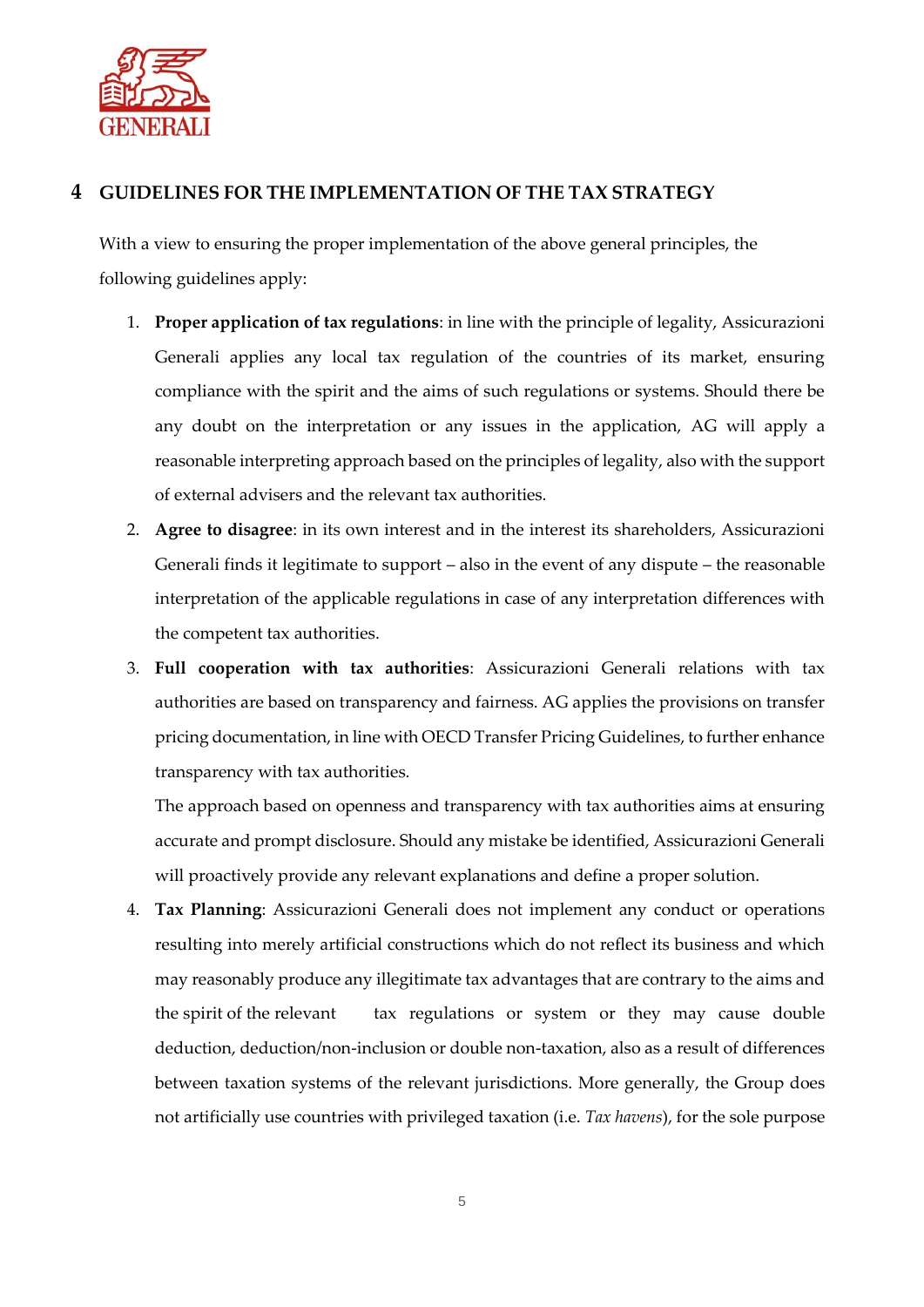

## **4 GUIDELINES FOR THE IMPLEMENTATION OF THE TAX STRATEGY**

With a view to ensuring the proper implementation of the above general principles, the following guidelines apply:

- 1. **Proper application of tax regulations**: in line with the principle of legality, Assicurazioni Generali applies any local tax regulation of the countries of its market, ensuring compliance with the spirit and the aims of such regulations or systems. Should there be any doubt on the interpretation or any issues in the application, AG will apply a reasonable interpreting approach based on the principles of legality, also with the support of external advisers and the relevant tax authorities.
- 2. **Agree to disagree**: in its own interest and in the interest its shareholders, Assicurazioni Generali finds it legitimate to support – also in the event of any dispute – the reasonable interpretation of the applicable regulations in case of any interpretation differences with the competent tax authorities.
- 3. **Full cooperation with tax authorities**: Assicurazioni Generali relations with tax authorities are based on transparency and fairness. AG applies the provisions on transfer pricing documentation, in line with OECD Transfer Pricing Guidelines, to further enhance transparency with tax authorities.

The approach based on openness and transparency with tax authorities aims at ensuring accurate and prompt disclosure. Should any mistake be identified, Assicurazioni Generali will proactively provide any relevant explanations and define a proper solution.

4. **Tax Planning**: Assicurazioni Generali does not implement any conduct or operations resulting into merely artificial constructions which do not reflect its business and which may reasonably produce any illegitimate tax advantages that are contrary to the aims and the spirit of the relevant tax regulations or system or they may cause double deduction, deduction/non-inclusion or double non-taxation, also as a result of differences between taxation systems of the relevant jurisdictions. More generally, the Group does not artificially use countries with privileged taxation (i.e. *Tax havens*), for the sole purpose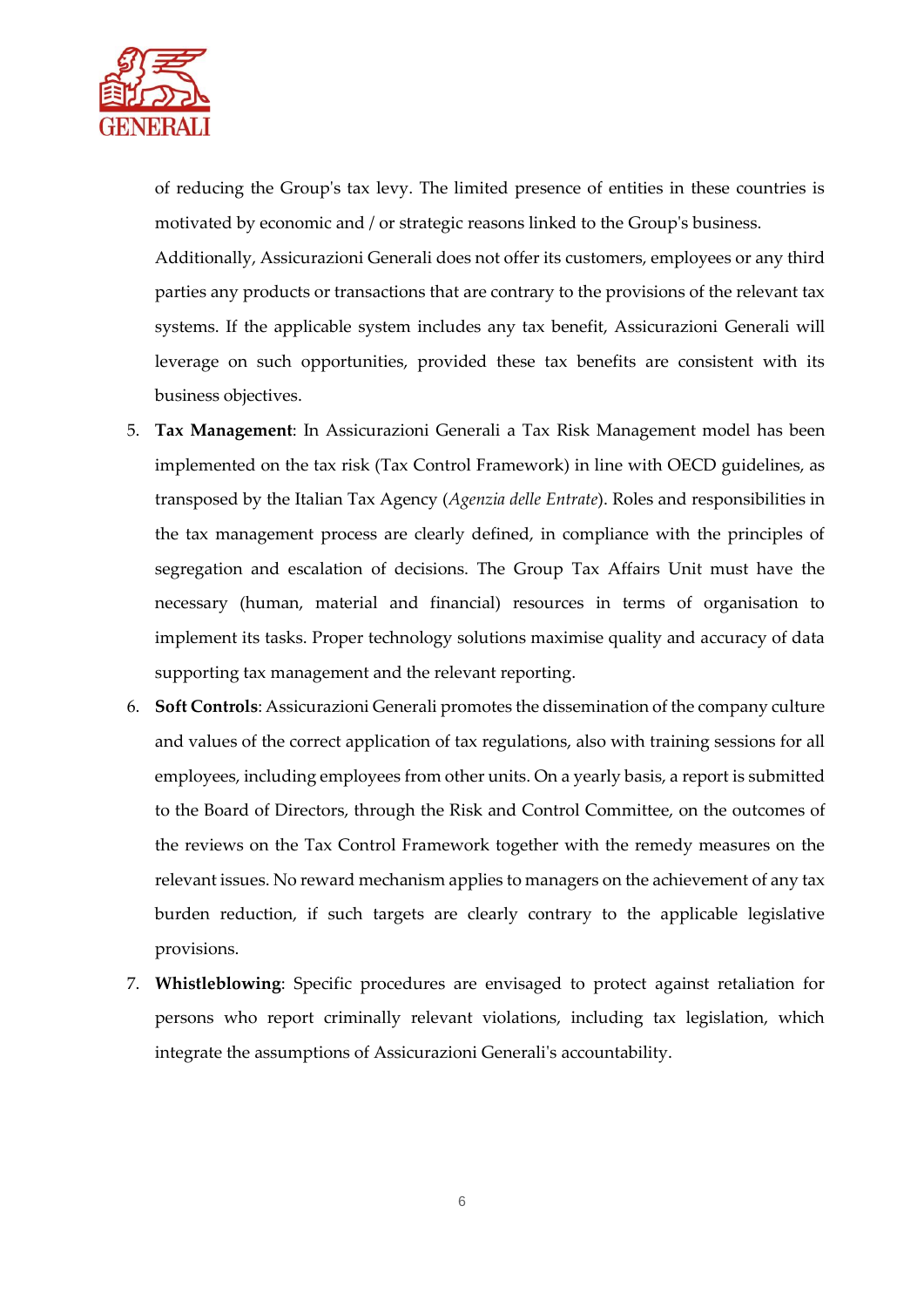

of reducing the Group's tax levy. The limited presence of entities in these countries is motivated by economic and / or strategic reasons linked to the Group's business.

Additionally, Assicurazioni Generali does not offer its customers, employees or any third parties any products or transactions that are contrary to the provisions of the relevant tax systems. If the applicable system includes any tax benefit, Assicurazioni Generali will leverage on such opportunities, provided these tax benefits are consistent with its business objectives.

- 5. **Tax Management**: In Assicurazioni Generali a Tax Risk Management model has been implemented on the tax risk (Tax Control Framework) in line with OECD guidelines, as transposed by the Italian Tax Agency (*Agenzia delle Entrate*). Roles and responsibilities in the tax management process are clearly defined, in compliance with the principles of segregation and escalation of decisions. The Group Tax Affairs Unit must have the necessary (human, material and financial) resources in terms of organisation to implement its tasks. Proper technology solutions maximise quality and accuracy of data supporting tax management and the relevant reporting.
- 6. **Soft Controls**: Assicurazioni Generali promotes the dissemination of the company culture and values of the correct application of tax regulations, also with training sessions for all employees, including employees from other units. On a yearly basis, a report is submitted to the Board of Directors, through the Risk and Control Committee, on the outcomes of the reviews on the Tax Control Framework together with the remedy measures on the relevant issues. No reward mechanism applies to managers on the achievement of any tax burden reduction, if such targets are clearly contrary to the applicable legislative provisions.
- 7. **Whistleblowing**: Specific procedures are envisaged to protect against retaliation for persons who report criminally relevant violations, including tax legislation, which integrate the assumptions of Assicurazioni Generali's accountability.